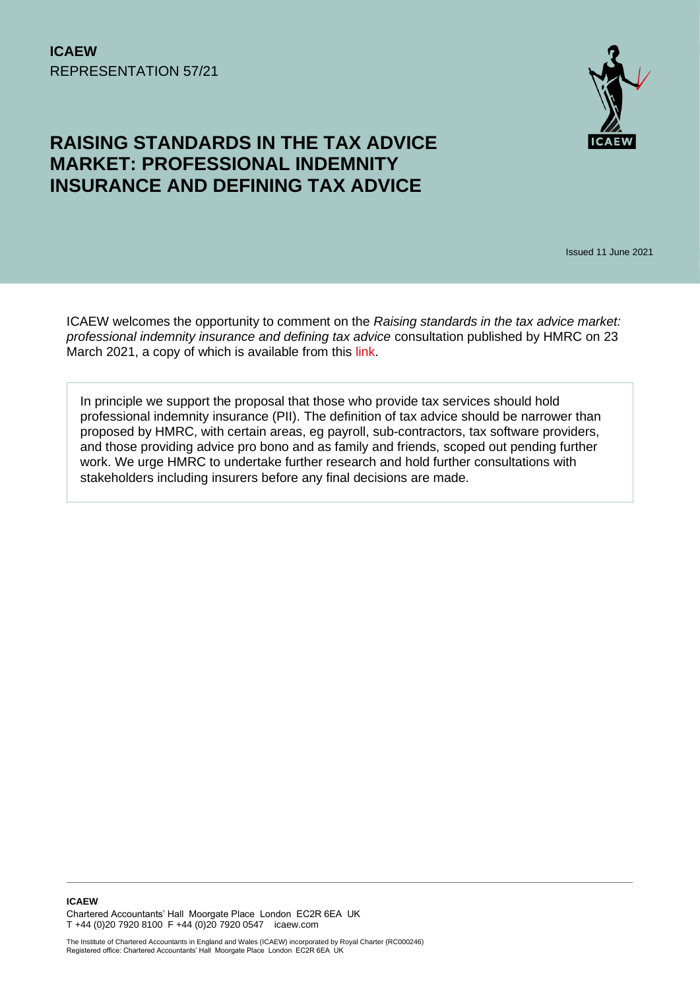

# **RAISING STANDARDS IN THE TAX ADVICE MARKET: PROFESSIONAL INDEMNITY INSURANCE AND DEFINING TAX ADVICE**

Issued 11 June 2021

ICAEW welcomes the opportunity to comment on the *Raising standards in the tax advice market: professional indemnity insurance and defining tax advice* consultation published by HMRC on 23 March 2021, a copy of which is available from this [link.](https://assets.publishing.service.gov.uk/government/uploads/system/uploads/attachment_data/file/972427/Raising_standards_in_the_tax_advice_market_professional_indemnity_insurance_and_defining_tax_advice_-_consultation.pdf)

In principle we support the proposal that those who provide tax services should hold professional indemnity insurance (PII). The definition of tax advice should be narrower than proposed by HMRC, with certain areas, eg payroll, sub-contractors, tax software providers, and those providing advice pro bono and as family and friends, scoped out pending further work. We urge HMRC to undertake further research and hold further consultations with stakeholders including insurers before any final decisions are made.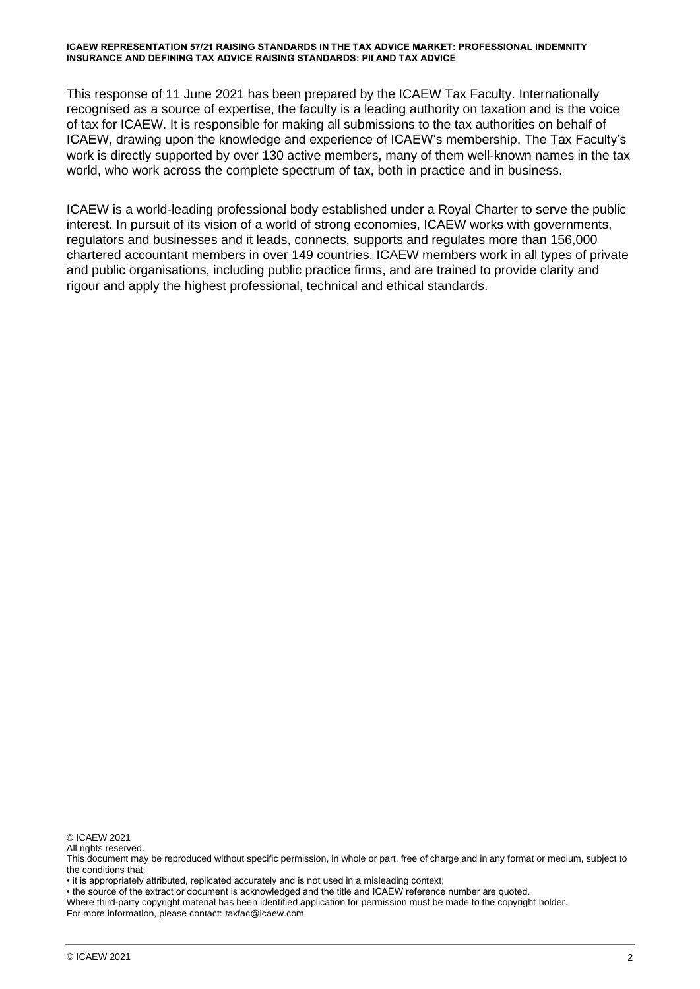This response of 11 June 2021 has been prepared by the ICAEW Tax Faculty. Internationally recognised as a source of expertise, the faculty is a leading authority on taxation and is the voice of tax for ICAEW. It is responsible for making all submissions to the tax authorities on behalf of ICAEW, drawing upon the knowledge and experience of ICAEW's membership. The Tax Faculty's work is directly supported by over 130 active members, many of them well-known names in the tax world, who work across the complete spectrum of tax, both in practice and in business.

ICAEW is a world-leading professional body established under a Royal Charter to serve the public interest. In pursuit of its vision of a world of strong economies, ICAEW works with governments, regulators and businesses and it leads, connects, supports and regulates more than 156,000 chartered accountant members in over 149 countries. ICAEW members work in all types of private and public organisations, including public practice firms, and are trained to provide clarity and rigour and apply the highest professional, technical and ethical standards.

© ICAEW 2021

All rights reserved.

• it is appropriately attributed, replicated accurately and is not used in a misleading context;

• the source of the extract or document is acknowledged and the title and ICAEW reference number are quoted.

Where third-party copyright material has been identified application for permission must be made to the copyright holder. For more information, please contact: taxfac@icaew.com

This document may be reproduced without specific permission, in whole or part, free of charge and in any format or medium, subject to the conditions that: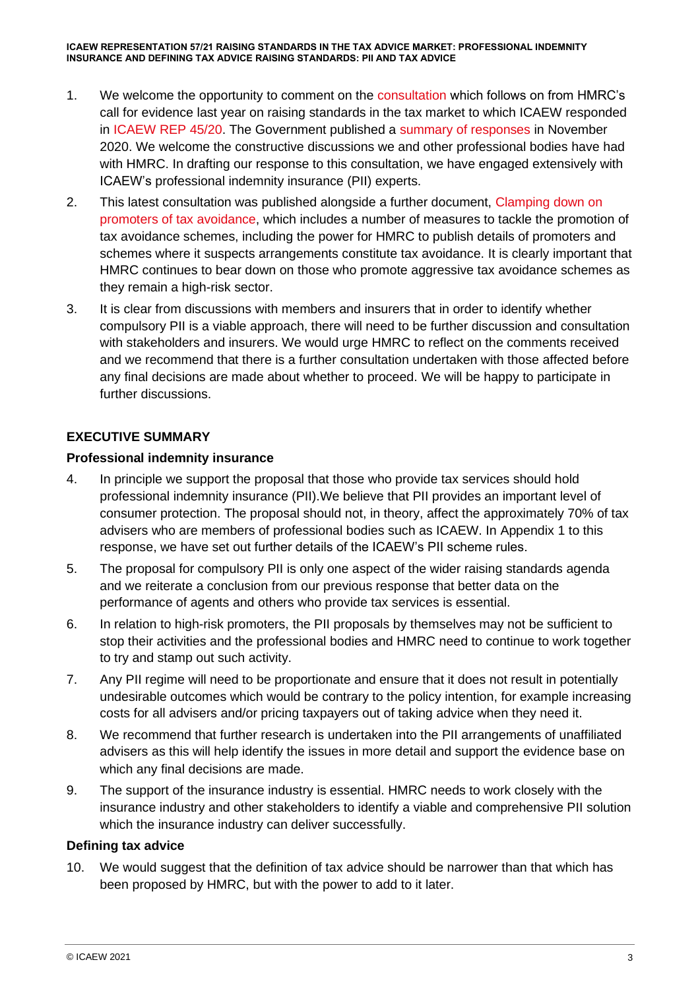- 1. We welcome the opportunity to comment on the [consultation](https://assets.publishing.service.gov.uk/government/uploads/system/uploads/attachment_data/file/972276/Raising_standards_in_the_tax_advice_market_professional_indemnity_insurance_and_defining_tax_advice_-_consultation.pdf) which follows on from HMRC's call for evidence last year on raising standards in the tax market to which ICAEW responded in [ICAEW REP 45/20.](https://www.icaew.com/-/media/corporate/files/technical/icaew-representations/2020/icaew-rep-45-20-response-to-the-call-for-evidence-on-the-tax-services-market.ashx) The Government published a [summary of responses](https://assets.publishing.service.gov.uk/government/uploads/system/uploads/attachment_data/file/934614/Raising_standards_in_the_tax_advice_market_-_summary_of_responses_and_next_steps.pdf) in November 2020. We welcome the constructive discussions we and other professional bodies have had with HMRC. In drafting our response to this consultation, we have engaged extensively with ICAEW's professional indemnity insurance (PII) experts.
- 2. This latest consultation was published alongside a further document, Clamping down on [promoters of tax avoidance,](https://assets.publishing.service.gov.uk/government/uploads/system/uploads/attachment_data/file/972213/Clamping_down_on_promoters_of_tax_avoidance_-_consultation.pdf) which includes a number of measures to tackle the promotion of tax avoidance schemes, including the power for HMRC to publish details of promoters and schemes where it suspects arrangements constitute tax avoidance. It is clearly important that HMRC continues to bear down on those who promote aggressive tax avoidance schemes as they remain a high-risk sector.
- 3. It is clear from discussions with members and insurers that in order to identify whether compulsory PII is a viable approach, there will need to be further discussion and consultation with stakeholders and insurers. We would urge HMRC to reflect on the comments received and we recommend that there is a further consultation undertaken with those affected before any final decisions are made about whether to proceed. We will be happy to participate in further discussions.

# **EXECUTIVE SUMMARY**

# **Professional indemnity insurance**

- 4. In principle we support the proposal that those who provide tax services should hold professional indemnity insurance (PII).We believe that PII provides an important level of consumer protection. The proposal should not, in theory, affect the approximately 70% of tax advisers who are members of professional bodies such as ICAEW. In Appendix 1 to this response, we have set out further details of the ICAEW's PII scheme rules.
- 5. The proposal for compulsory PII is only one aspect of the wider raising standards agenda and we reiterate a conclusion from our previous response that better data on the performance of agents and others who provide tax services is essential.
- 6. In relation to high-risk promoters, the PII proposals by themselves may not be sufficient to stop their activities and the professional bodies and HMRC need to continue to work together to try and stamp out such activity.
- 7. Any PII regime will need to be proportionate and ensure that it does not result in potentially undesirable outcomes which would be contrary to the policy intention, for example increasing costs for all advisers and/or pricing taxpayers out of taking advice when they need it.
- 8. We recommend that further research is undertaken into the PII arrangements of unaffiliated advisers as this will help identify the issues in more detail and support the evidence base on which any final decisions are made.
- 9. The support of the insurance industry is essential. HMRC needs to work closely with the insurance industry and other stakeholders to identify a viable and comprehensive PII solution which the insurance industry can deliver successfully.

#### **Defining tax advice**

10. We would suggest that the definition of tax advice should be narrower than that which has been proposed by HMRC, but with the power to add to it later.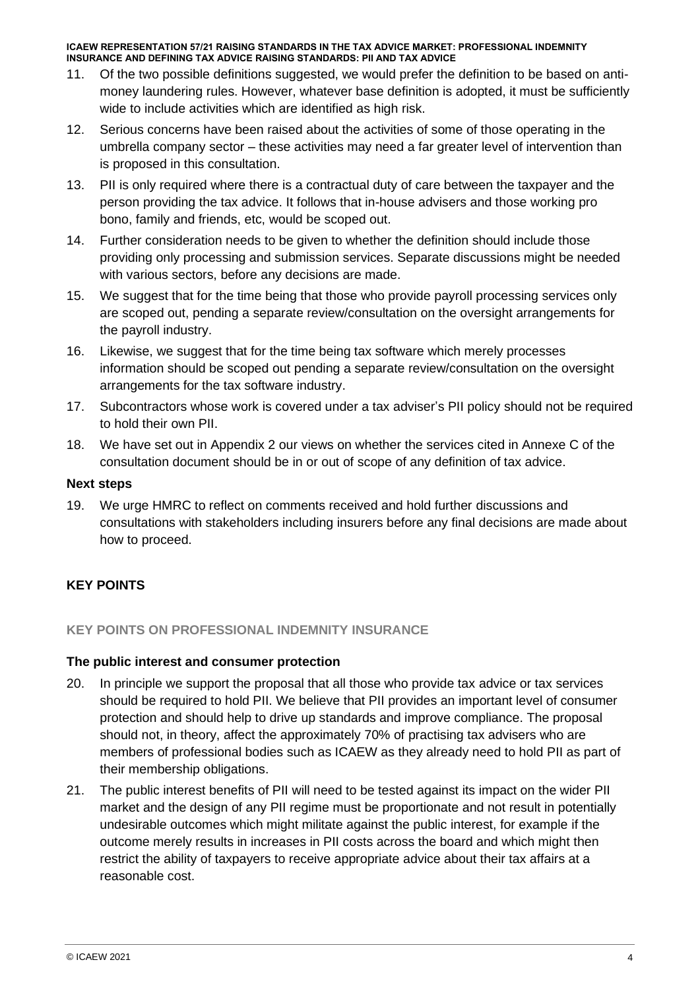- 11. Of the two possible definitions suggested, we would prefer the definition to be based on antimoney laundering rules. However, whatever base definition is adopted, it must be sufficiently wide to include activities which are identified as high risk.
- 12. Serious concerns have been raised about the activities of some of those operating in the umbrella company sector – these activities may need a far greater level of intervention than is proposed in this consultation.
- 13. PII is only required where there is a contractual duty of care between the taxpayer and the person providing the tax advice. It follows that in-house advisers and those working pro bono, family and friends, etc, would be scoped out.
- 14. Further consideration needs to be given to whether the definition should include those providing only processing and submission services. Separate discussions might be needed with various sectors, before any decisions are made.
- 15. We suggest that for the time being that those who provide payroll processing services only are scoped out, pending a separate review/consultation on the oversight arrangements for the payroll industry.
- 16. Likewise, we suggest that for the time being tax software which merely processes information should be scoped out pending a separate review/consultation on the oversight arrangements for the tax software industry.
- 17. Subcontractors whose work is covered under a tax adviser's PII policy should not be required to hold their own PII.
- 18. We have set out in Appendix 2 our views on whether the services cited in Annexe C of the consultation document should be in or out of scope of any definition of tax advice.

#### **Next steps**

19. We urge HMRC to reflect on comments received and hold further discussions and consultations with stakeholders including insurers before any final decisions are made about how to proceed.

# **KEY POINTS**

#### **KEY POINTS ON PROFESSIONAL INDEMNITY INSURANCE**

#### **The public interest and consumer protection**

- 20. In principle we support the proposal that all those who provide tax advice or tax services should be required to hold PII. We believe that PII provides an important level of consumer protection and should help to drive up standards and improve compliance. The proposal should not, in theory, affect the approximately 70% of practising tax advisers who are members of professional bodies such as ICAEW as they already need to hold PII as part of their membership obligations.
- 21. The public interest benefits of PII will need to be tested against its impact on the wider PII market and the design of any PII regime must be proportionate and not result in potentially undesirable outcomes which might militate against the public interest, for example if the outcome merely results in increases in PII costs across the board and which might then restrict the ability of taxpayers to receive appropriate advice about their tax affairs at a reasonable cost.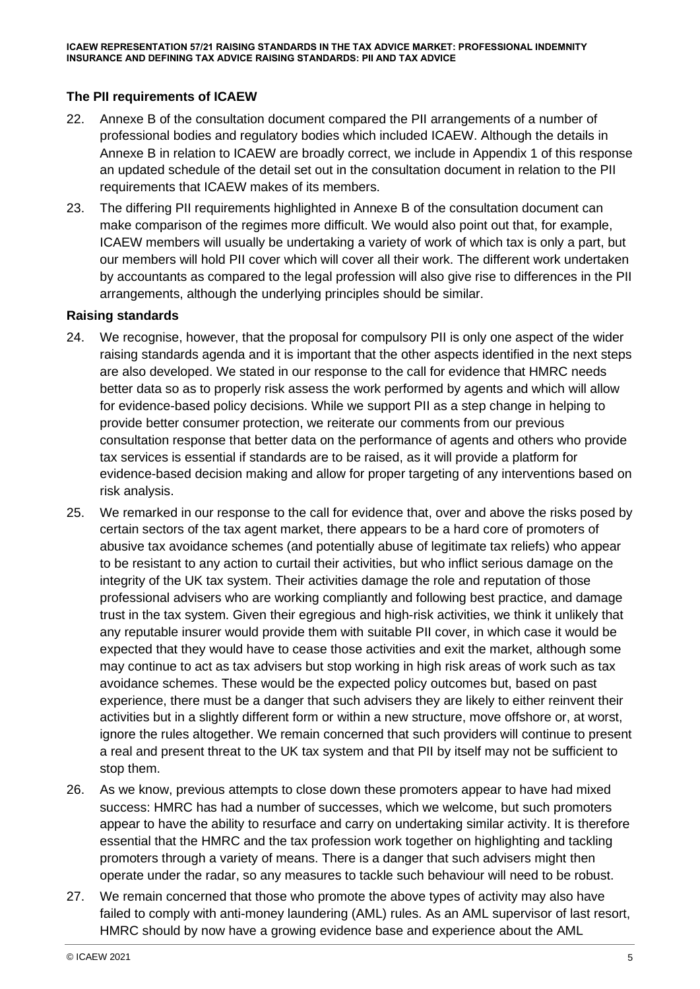# **The PII requirements of ICAEW**

- 22. Annexe B of the consultation document compared the PII arrangements of a number of professional bodies and regulatory bodies which included ICAEW. Although the details in Annexe B in relation to ICAEW are broadly correct, we include in Appendix 1 of this response an updated schedule of the detail set out in the consultation document in relation to the PII requirements that ICAEW makes of its members.
- 23. The differing PII requirements highlighted in Annexe B of the consultation document can make comparison of the regimes more difficult. We would also point out that, for example, ICAEW members will usually be undertaking a variety of work of which tax is only a part, but our members will hold PII cover which will cover all their work. The different work undertaken by accountants as compared to the legal profession will also give rise to differences in the PII arrangements, although the underlying principles should be similar.

#### **Raising standards**

- 24. We recognise, however, that the proposal for compulsory PII is only one aspect of the wider raising standards agenda and it is important that the other aspects identified in the next steps are also developed. We stated in our response to the call for evidence that HMRC needs better data so as to properly risk assess the work performed by agents and which will allow for evidence-based policy decisions. While we support PII as a step change in helping to provide better consumer protection, we reiterate our comments from our previous consultation response that better data on the performance of agents and others who provide tax services is essential if standards are to be raised, as it will provide a platform for evidence-based decision making and allow for proper targeting of any interventions based on risk analysis.
- 25. We remarked in our response to the call for evidence that, over and above the risks posed by certain sectors of the tax agent market, there appears to be a hard core of promoters of abusive tax avoidance schemes (and potentially abuse of legitimate tax reliefs) who appear to be resistant to any action to curtail their activities, but who inflict serious damage on the integrity of the UK tax system. Their activities damage the role and reputation of those professional advisers who are working compliantly and following best practice, and damage trust in the tax system. Given their egregious and high-risk activities, we think it unlikely that any reputable insurer would provide them with suitable PII cover, in which case it would be expected that they would have to cease those activities and exit the market, although some may continue to act as tax advisers but stop working in high risk areas of work such as tax avoidance schemes. These would be the expected policy outcomes but, based on past experience, there must be a danger that such advisers they are likely to either reinvent their activities but in a slightly different form or within a new structure, move offshore or, at worst, ignore the rules altogether. We remain concerned that such providers will continue to present a real and present threat to the UK tax system and that PII by itself may not be sufficient to stop them.
- 26. As we know, previous attempts to close down these promoters appear to have had mixed success: HMRC has had a number of successes, which we welcome, but such promoters appear to have the ability to resurface and carry on undertaking similar activity. It is therefore essential that the HMRC and the tax profession work together on highlighting and tackling promoters through a variety of means. There is a danger that such advisers might then operate under the radar, so any measures to tackle such behaviour will need to be robust.
- 27. We remain concerned that those who promote the above types of activity may also have failed to comply with anti-money laundering (AML) rules. As an AML supervisor of last resort, HMRC should by now have a growing evidence base and experience about the AML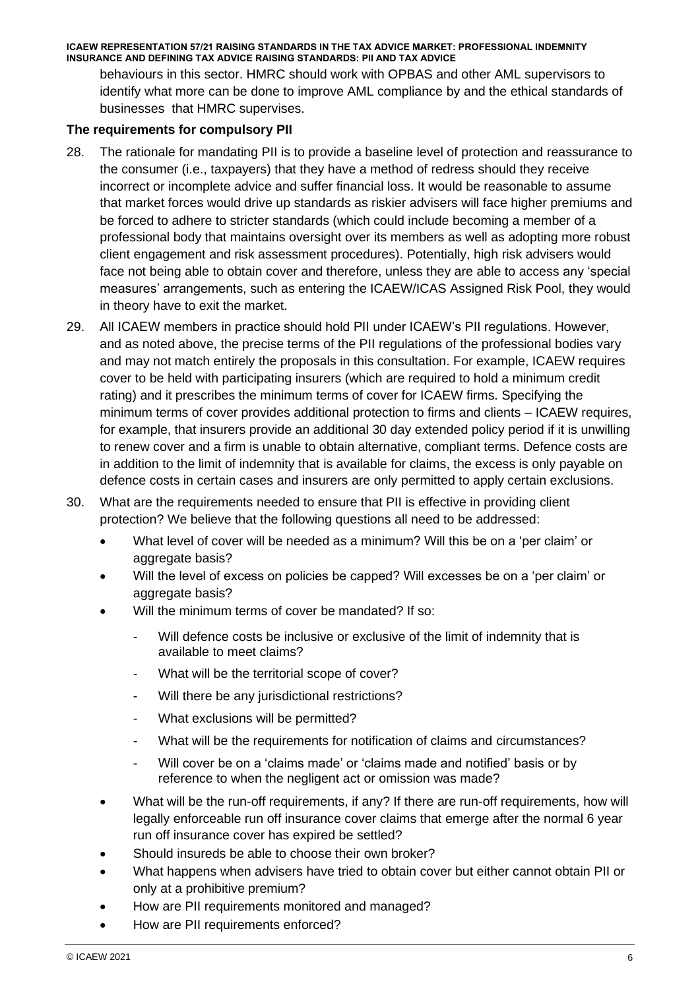behaviours in this sector. HMRC should work with OPBAS and other AML supervisors to identify what more can be done to improve AML compliance by and the ethical standards of businesses that HMRC supervises.

#### **The requirements for compulsory PII**

- 28. The rationale for mandating PII is to provide a baseline level of protection and reassurance to the consumer (i.e., taxpayers) that they have a method of redress should they receive incorrect or incomplete advice and suffer financial loss. It would be reasonable to assume that market forces would drive up standards as riskier advisers will face higher premiums and be forced to adhere to stricter standards (which could include becoming a member of a professional body that maintains oversight over its members as well as adopting more robust client engagement and risk assessment procedures). Potentially, high risk advisers would face not being able to obtain cover and therefore, unless they are able to access any 'special measures' arrangements, such as entering the ICAEW/ICAS Assigned Risk Pool, they would in theory have to exit the market.
- 29. All ICAEW members in practice should hold PII under ICAEW's PII regulations. However, and as noted above, the precise terms of the PII regulations of the professional bodies vary and may not match entirely the proposals in this consultation. For example, ICAEW requires cover to be held with participating insurers (which are required to hold a minimum credit rating) and it prescribes the minimum terms of cover for ICAEW firms. Specifying the minimum terms of cover provides additional protection to firms and clients – ICAEW requires, for example, that insurers provide an additional 30 day extended policy period if it is unwilling to renew cover and a firm is unable to obtain alternative, compliant terms. Defence costs are in addition to the limit of indemnity that is available for claims, the excess is only payable on defence costs in certain cases and insurers are only permitted to apply certain exclusions.
- 30. What are the requirements needed to ensure that PII is effective in providing client protection? We believe that the following questions all need to be addressed:
	- What level of cover will be needed as a minimum? Will this be on a 'per claim' or aggregate basis?
	- Will the level of excess on policies be capped? Will excesses be on a 'per claim' or aggregate basis?
	- Will the minimum terms of cover be mandated? If so:
		- Will defence costs be inclusive or exclusive of the limit of indemnity that is available to meet claims?
		- What will be the territorial scope of cover?
		- Will there be any jurisdictional restrictions?
		- What exclusions will be permitted?
		- What will be the requirements for notification of claims and circumstances?
		- Will cover be on a 'claims made' or 'claims made and notified' basis or by reference to when the negligent act or omission was made?
	- What will be the run-off requirements, if any? If there are run-off requirements, how will legally enforceable run off insurance cover claims that emerge after the normal 6 year run off insurance cover has expired be settled?
	- Should insureds be able to choose their own broker?
	- What happens when advisers have tried to obtain cover but either cannot obtain PII or only at a prohibitive premium?
	- How are PII requirements monitored and managed?
	- How are PII requirements enforced?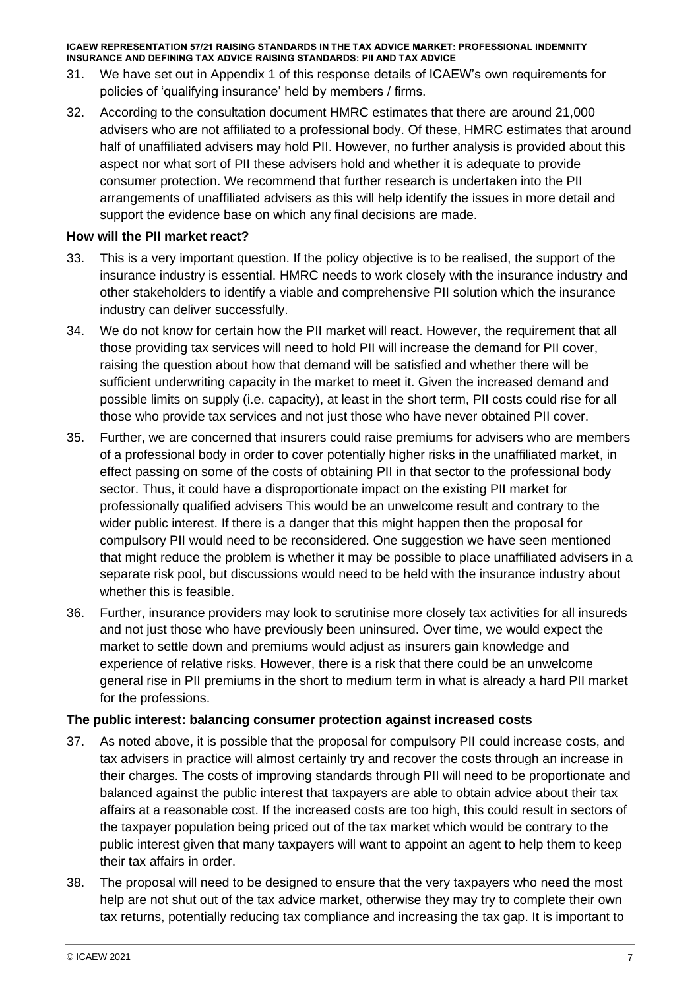- 31. We have set out in Appendix 1 of this response details of ICAEW's own requirements for policies of 'qualifying insurance' held by members / firms.
- 32. According to the consultation document HMRC estimates that there are around 21,000 advisers who are not affiliated to a professional body. Of these, HMRC estimates that around half of unaffiliated advisers may hold PII. However, no further analysis is provided about this aspect nor what sort of PII these advisers hold and whether it is adequate to provide consumer protection. We recommend that further research is undertaken into the PII arrangements of unaffiliated advisers as this will help identify the issues in more detail and support the evidence base on which any final decisions are made.

#### **How will the PII market react?**

- 33. This is a very important question. If the policy objective is to be realised, the support of the insurance industry is essential. HMRC needs to work closely with the insurance industry and other stakeholders to identify a viable and comprehensive PII solution which the insurance industry can deliver successfully.
- 34. We do not know for certain how the PII market will react. However, the requirement that all those providing tax services will need to hold PII will increase the demand for PII cover, raising the question about how that demand will be satisfied and whether there will be sufficient underwriting capacity in the market to meet it. Given the increased demand and possible limits on supply (i.e. capacity), at least in the short term, PII costs could rise for all those who provide tax services and not just those who have never obtained PII cover.
- 35. Further, we are concerned that insurers could raise premiums for advisers who are members of a professional body in order to cover potentially higher risks in the unaffiliated market, in effect passing on some of the costs of obtaining PII in that sector to the professional body sector. Thus, it could have a disproportionate impact on the existing PII market for professionally qualified advisers This would be an unwelcome result and contrary to the wider public interest. If there is a danger that this might happen then the proposal for compulsory PII would need to be reconsidered. One suggestion we have seen mentioned that might reduce the problem is whether it may be possible to place unaffiliated advisers in a separate risk pool, but discussions would need to be held with the insurance industry about whether this is feasible.
- 36. Further, insurance providers may look to scrutinise more closely tax activities for all insureds and not just those who have previously been uninsured. Over time, we would expect the market to settle down and premiums would adjust as insurers gain knowledge and experience of relative risks. However, there is a risk that there could be an unwelcome general rise in PII premiums in the short to medium term in what is already a hard PII market for the professions.

#### **The public interest: balancing consumer protection against increased costs**

- 37. As noted above, it is possible that the proposal for compulsory PII could increase costs, and tax advisers in practice will almost certainly try and recover the costs through an increase in their charges. The costs of improving standards through PII will need to be proportionate and balanced against the public interest that taxpayers are able to obtain advice about their tax affairs at a reasonable cost. If the increased costs are too high, this could result in sectors of the taxpayer population being priced out of the tax market which would be contrary to the public interest given that many taxpayers will want to appoint an agent to help them to keep their tax affairs in order.
- 38. The proposal will need to be designed to ensure that the very taxpayers who need the most help are not shut out of the tax advice market, otherwise they may try to complete their own tax returns, potentially reducing tax compliance and increasing the tax gap. It is important to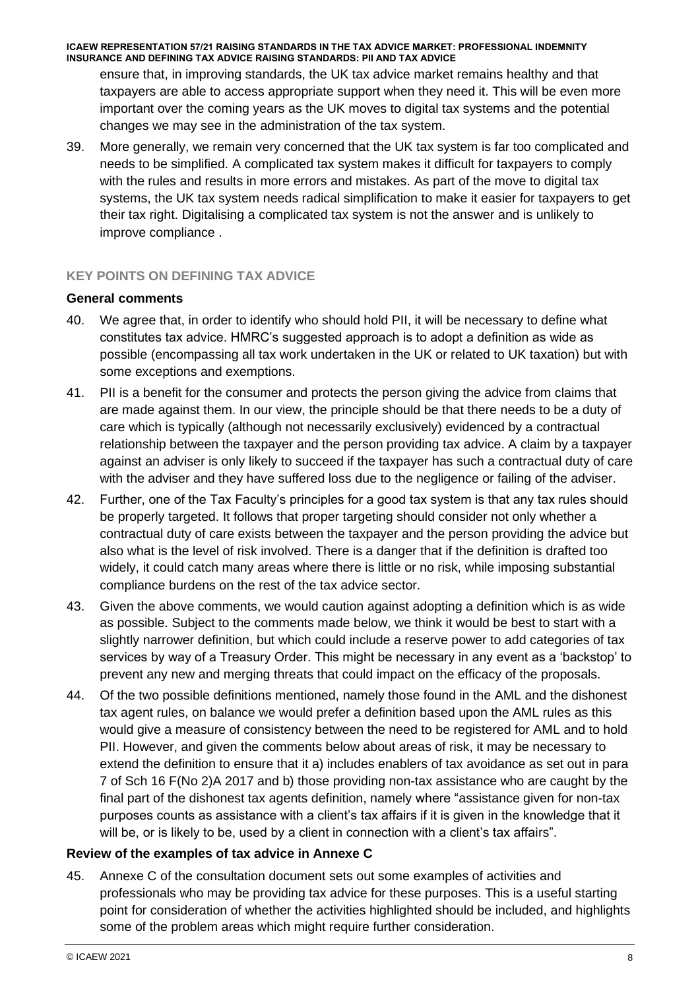ensure that, in improving standards, the UK tax advice market remains healthy and that taxpayers are able to access appropriate support when they need it. This will be even more important over the coming years as the UK moves to digital tax systems and the potential changes we may see in the administration of the tax system.

39. More generally, we remain very concerned that the UK tax system is far too complicated and needs to be simplified. A complicated tax system makes it difficult for taxpayers to comply with the rules and results in more errors and mistakes. As part of the move to digital tax systems, the UK tax system needs radical simplification to make it easier for taxpayers to get their tax right. Digitalising a complicated tax system is not the answer and is unlikely to improve compliance .

# **KEY POINTS ON DEFINING TAX ADVICE**

#### **General comments**

- 40. We agree that, in order to identify who should hold PII, it will be necessary to define what constitutes tax advice. HMRC's suggested approach is to adopt a definition as wide as possible (encompassing all tax work undertaken in the UK or related to UK taxation) but with some exceptions and exemptions.
- 41. PII is a benefit for the consumer and protects the person giving the advice from claims that are made against them. In our view, the principle should be that there needs to be a duty of care which is typically (although not necessarily exclusively) evidenced by a contractual relationship between the taxpayer and the person providing tax advice. A claim by a taxpayer against an adviser is only likely to succeed if the taxpayer has such a contractual duty of care with the adviser and they have suffered loss due to the negligence or failing of the adviser.
- 42. Further, one of the Tax Faculty's principles for a good tax system is that any tax rules should be properly targeted. It follows that proper targeting should consider not only whether a contractual duty of care exists between the taxpayer and the person providing the advice but also what is the level of risk involved. There is a danger that if the definition is drafted too widely, it could catch many areas where there is little or no risk, while imposing substantial compliance burdens on the rest of the tax advice sector.
- 43. Given the above comments, we would caution against adopting a definition which is as wide as possible. Subject to the comments made below, we think it would be best to start with a slightly narrower definition, but which could include a reserve power to add categories of tax services by way of a Treasury Order. This might be necessary in any event as a 'backstop' to prevent any new and merging threats that could impact on the efficacy of the proposals.
- 44. Of the two possible definitions mentioned, namely those found in the AML and the dishonest tax agent rules, on balance we would prefer a definition based upon the AML rules as this would give a measure of consistency between the need to be registered for AML and to hold PII. However, and given the comments below about areas of risk, it may be necessary to extend the definition to ensure that it a) includes enablers of tax avoidance as set out in para 7 of Sch 16 F(No 2)A 2017 and b) those providing non-tax assistance who are caught by the final part of the dishonest tax agents definition, namely where "assistance given for non-tax purposes counts as assistance with a client's tax affairs if it is given in the knowledge that it will be, or is likely to be, used by a client in connection with a client's tax affairs".

# **Review of the examples of tax advice in Annexe C**

45. Annexe C of the consultation document sets out some examples of activities and professionals who may be providing tax advice for these purposes. This is a useful starting point for consideration of whether the activities highlighted should be included, and highlights some of the problem areas which might require further consideration.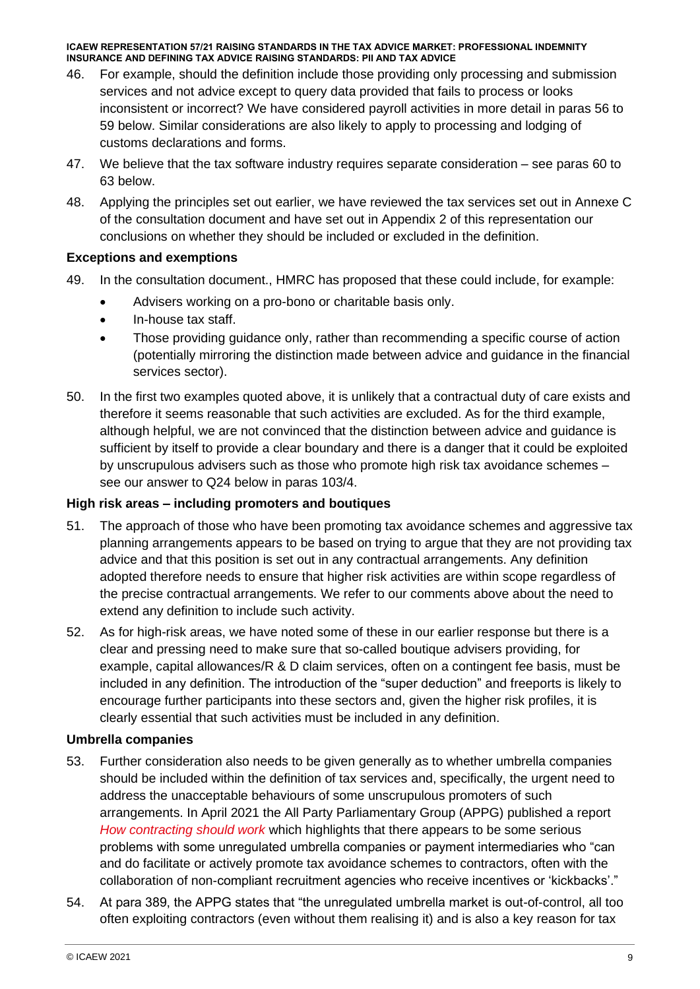- 46. For example, should the definition include those providing only processing and submission services and not advice except to query data provided that fails to process or looks inconsistent or incorrect? We have considered payroll activities in more detail in paras 56 to 59 below. Similar considerations are also likely to apply to processing and lodging of customs declarations and forms.
- 47. We believe that the tax software industry requires separate consideration see paras 60 to 63 below.
- 48. Applying the principles set out earlier, we have reviewed the tax services set out in Annexe C of the consultation document and have set out in Appendix 2 of this representation our conclusions on whether they should be included or excluded in the definition.

#### **Exceptions and exemptions**

- 49. In the consultation document., HMRC has proposed that these could include, for example:
	- Advisers working on a pro-bono or charitable basis only.
	- In-house tax staff.
	- Those providing guidance only, rather than recommending a specific course of action (potentially mirroring the distinction made between advice and guidance in the financial services sector).
- 50. In the first two examples quoted above, it is unlikely that a contractual duty of care exists and therefore it seems reasonable that such activities are excluded. As for the third example, although helpful, we are not convinced that the distinction between advice and guidance is sufficient by itself to provide a clear boundary and there is a danger that it could be exploited by unscrupulous advisers such as those who promote high risk tax avoidance schemes – see our answer to Q24 below in paras 103/4.

#### **High risk areas – including promoters and boutiques**

- 51. The approach of those who have been promoting tax avoidance schemes and aggressive tax planning arrangements appears to be based on trying to argue that they are not providing tax advice and that this position is set out in any contractual arrangements. Any definition adopted therefore needs to ensure that higher risk activities are within scope regardless of the precise contractual arrangements. We refer to our comments above about the need to extend any definition to include such activity.
- 52. As for high-risk areas, we have noted some of these in our earlier response but there is a clear and pressing need to make sure that so-called boutique advisers providing, for example, capital allowances/R & D claim services, often on a contingent fee basis, must be included in any definition. The introduction of the "super deduction" and freeports is likely to encourage further participants into these sectors and, given the higher risk profiles, it is clearly essential that such activities must be included in any definition.

#### **Umbrella companies**

- 53. Further consideration also needs to be given generally as to whether umbrella companies should be included within the definition of tax services and, specifically, the urgent need to address the unacceptable behaviours of some unscrupulous promoters of such arrangements. In April 2021 the All Party Parliamentary Group (APPG) published a report *[How contracting should work](http://www.loanchargeappg.co.uk/wp-content/uploads/2021/04/How-Contracting-Should-Work-Inquiry-Report-April-2021-min.pdf)* which highlights that there appears to be some serious problems with some unregulated umbrella companies or payment intermediaries who "can and do facilitate or actively promote tax avoidance schemes to contractors, often with the collaboration of non-compliant recruitment agencies who receive incentives or 'kickbacks'."
- 54. At para 389, the APPG states that "the unregulated umbrella market is out-of-control, all too often exploiting contractors (even without them realising it) and is also a key reason for tax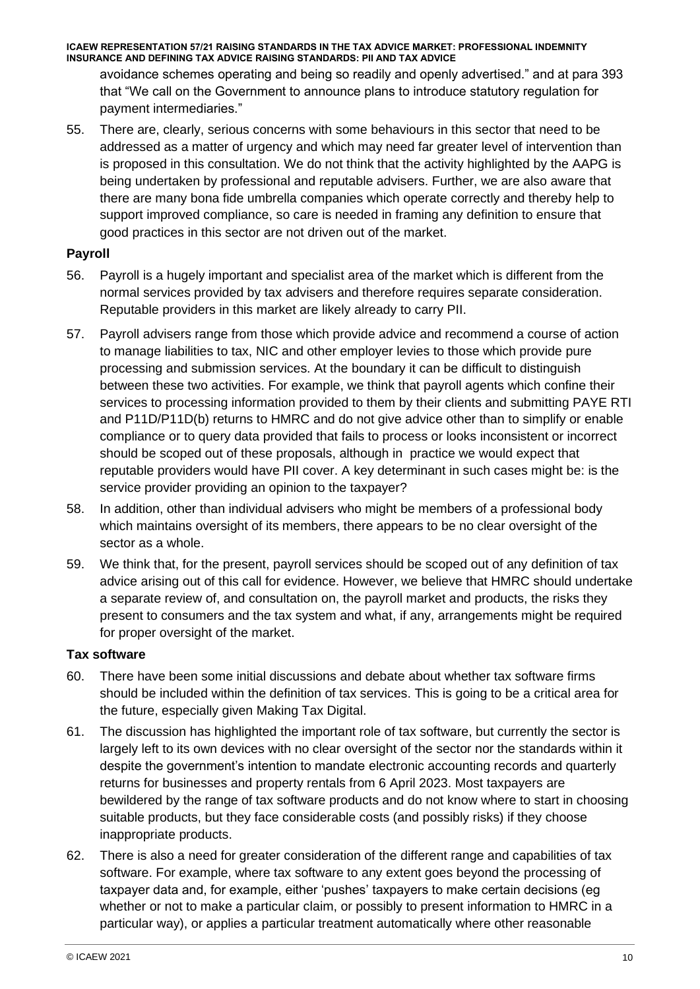avoidance schemes operating and being so readily and openly advertised." and at para 393 that "We call on the Government to announce plans to introduce statutory regulation for payment intermediaries."

55. There are, clearly, serious concerns with some behaviours in this sector that need to be addressed as a matter of urgency and which may need far greater level of intervention than is proposed in this consultation. We do not think that the activity highlighted by the AAPG is being undertaken by professional and reputable advisers. Further, we are also aware that there are many bona fide umbrella companies which operate correctly and thereby help to support improved compliance, so care is needed in framing any definition to ensure that good practices in this sector are not driven out of the market.

# **Payroll**

- 56. Payroll is a hugely important and specialist area of the market which is different from the normal services provided by tax advisers and therefore requires separate consideration. Reputable providers in this market are likely already to carry PII.
- 57. Payroll advisers range from those which provide advice and recommend a course of action to manage liabilities to tax, NIC and other employer levies to those which provide pure processing and submission services. At the boundary it can be difficult to distinguish between these two activities. For example, we think that payroll agents which confine their services to processing information provided to them by their clients and submitting PAYE RTI and P11D/P11D(b) returns to HMRC and do not give advice other than to simplify or enable compliance or to query data provided that fails to process or looks inconsistent or incorrect should be scoped out of these proposals, although in practice we would expect that reputable providers would have PII cover. A key determinant in such cases might be: is the service provider providing an opinion to the taxpayer?
- 58. In addition, other than individual advisers who might be members of a professional body which maintains oversight of its members, there appears to be no clear oversight of the sector as a whole.
- 59. We think that, for the present, payroll services should be scoped out of any definition of tax advice arising out of this call for evidence. However, we believe that HMRC should undertake a separate review of, and consultation on, the payroll market and products, the risks they present to consumers and the tax system and what, if any, arrangements might be required for proper oversight of the market.

# **Tax software**

- 60. There have been some initial discussions and debate about whether tax software firms should be included within the definition of tax services. This is going to be a critical area for the future, especially given Making Tax Digital.
- 61. The discussion has highlighted the important role of tax software, but currently the sector is largely left to its own devices with no clear oversight of the sector nor the standards within it despite the government's intention to mandate electronic accounting records and quarterly returns for businesses and property rentals from 6 April 2023. Most taxpayers are bewildered by the range of tax software products and do not know where to start in choosing suitable products, but they face considerable costs (and possibly risks) if they choose inappropriate products.
- 62. There is also a need for greater consideration of the different range and capabilities of tax software. For example, where tax software to any extent goes beyond the processing of taxpayer data and, for example, either 'pushes' taxpayers to make certain decisions (eg whether or not to make a particular claim, or possibly to present information to HMRC in a particular way), or applies a particular treatment automatically where other reasonable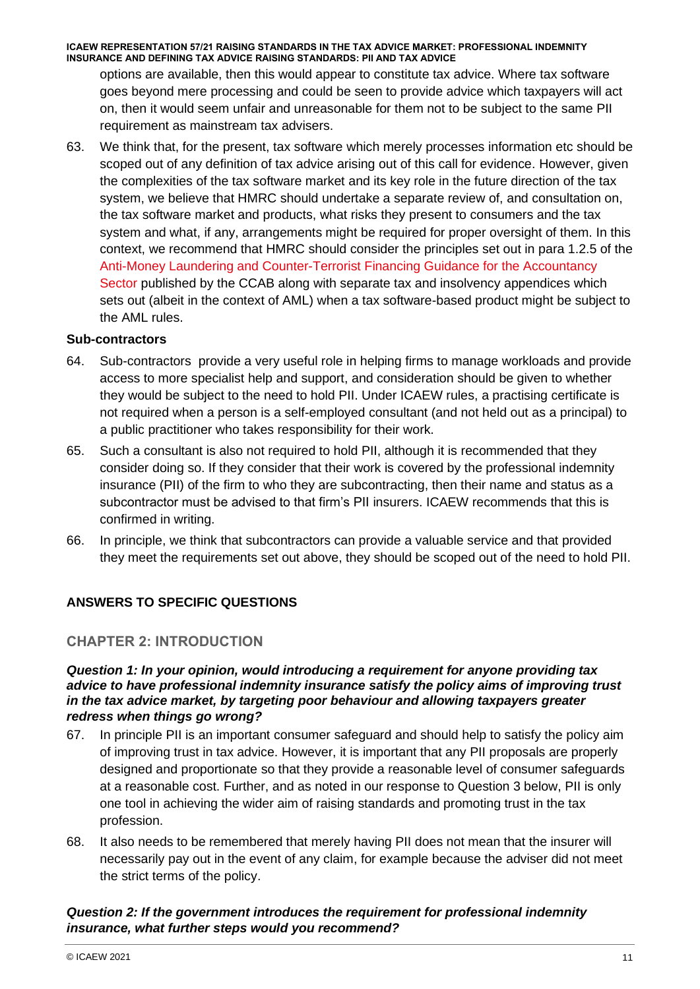options are available, then this would appear to constitute tax advice. Where tax software goes beyond mere processing and could be seen to provide advice which taxpayers will act on, then it would seem unfair and unreasonable for them not to be subject to the same PII requirement as mainstream tax advisers.

63. We think that, for the present, tax software which merely processes information etc should be scoped out of any definition of tax advice arising out of this call for evidence. However, given the complexities of the tax software market and its key role in the future direction of the tax system, we believe that HMRC should undertake a separate review of, and consultation on, the tax software market and products, what risks they present to consumers and the tax system and what, if any, arrangements might be required for proper oversight of them. In this context, we recommend that HMRC should consider the principles set out in para 1.2.5 of the [Anti-Money Laundering and Counter-Terrorist Financing Guidance for the Accountancy](https://www.ccab.org.uk/wp-content/uploads/2020/09/AMLGuidance2020.pdf)  [Sector](https://www.ccab.org.uk/wp-content/uploads/2020/09/AMLGuidance2020.pdf) published by the CCAB along with separate tax and insolvency appendices which sets out (albeit in the context of AML) when a tax software-based product might be subject to the AML rules.

#### **Sub-contractors**

- 64. Sub-contractors provide a very useful role in helping firms to manage workloads and provide access to more specialist help and support, and consideration should be given to whether they would be subject to the need to hold PII. Under ICAEW rules, a practising certificate is not required when a person is a self-employed consultant (and not held out as a principal) to a public practitioner who takes responsibility for their work.
- 65. Such a consultant is also not required to hold PII, although it is recommended that they consider doing so. If they consider that their work is covered by the professional indemnity insurance (PII) of the firm to who they are subcontracting, then their name and status as a subcontractor must be advised to that firm's PII insurers. ICAEW recommends that this is confirmed in writing.
- 66. In principle, we think that subcontractors can provide a valuable service and that provided they meet the requirements set out above, they should be scoped out of the need to hold PII.

# **ANSWERS TO SPECIFIC QUESTIONS**

#### **CHAPTER 2: INTRODUCTION**

#### *Question 1: In your opinion, would introducing a requirement for anyone providing tax advice to have professional indemnity insurance satisfy the policy aims of improving trust in the tax advice market, by targeting poor behaviour and allowing taxpayers greater redress when things go wrong?*

- 67. In principle PII is an important consumer safeguard and should help to satisfy the policy aim of improving trust in tax advice. However, it is important that any PII proposals are properly designed and proportionate so that they provide a reasonable level of consumer safeguards at a reasonable cost. Further, and as noted in our response to Question 3 below, PII is only one tool in achieving the wider aim of raising standards and promoting trust in the tax profession.
- 68. It also needs to be remembered that merely having PII does not mean that the insurer will necessarily pay out in the event of any claim, for example because the adviser did not meet the strict terms of the policy.

# *Question 2: If the government introduces the requirement for professional indemnity insurance, what further steps would you recommend?*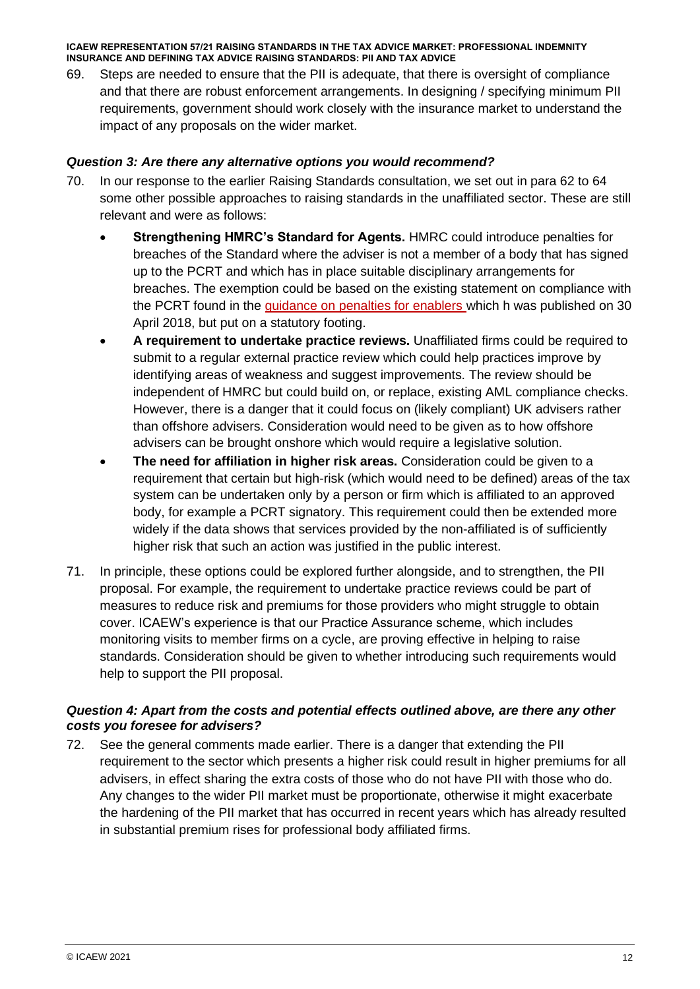69. Steps are needed to ensure that the PII is adequate, that there is oversight of compliance and that there are robust enforcement arrangements. In designing / specifying minimum PII requirements, government should work closely with the insurance market to understand the impact of any proposals on the wider market.

#### *Question 3: Are there any alternative options you would recommend?*

- 70. In our response to the earlier Raising Standards consultation, we set out in para 62 to 64 some other possible approaches to raising standards in the unaffiliated sector. These are still relevant and were as follows:
	- **Strengthening HMRC's Standard for Agents.** HMRC could introduce penalties for breaches of the Standard where the adviser is not a member of a body that has signed up to the PCRT and which has in place suitable disciplinary arrangements for breaches. The exemption could be based on the existing statement on compliance with the PCRT found in the [guidance on penalties for enablers](https://www.gov.uk/guidance/tax-avoidance-enablers-who-is-classed-an-enabler#interaction-with-pcrt) which h was published on 30 April 2018, but put on a statutory footing.
	- **A requirement to undertake practice reviews.** Unaffiliated firms could be required to submit to a regular external practice review which could help practices improve by identifying areas of weakness and suggest improvements. The review should be independent of HMRC but could build on, or replace, existing AML compliance checks. However, there is a danger that it could focus on (likely compliant) UK advisers rather than offshore advisers. Consideration would need to be given as to how offshore advisers can be brought onshore which would require a legislative solution.
	- **The need for affiliation in higher risk areas.** Consideration could be given to a requirement that certain but high-risk (which would need to be defined) areas of the tax system can be undertaken only by a person or firm which is affiliated to an approved body, for example a PCRT signatory. This requirement could then be extended more widely if the data shows that services provided by the non-affiliated is of sufficiently higher risk that such an action was justified in the public interest.
- 71. In principle, these options could be explored further alongside, and to strengthen, the PII proposal. For example, the requirement to undertake practice reviews could be part of measures to reduce risk and premiums for those providers who might struggle to obtain cover. ICAEW's experience is that our Practice Assurance scheme, which includes monitoring visits to member firms on a cycle, are proving effective in helping to raise standards. Consideration should be given to whether introducing such requirements would help to support the PII proposal.

#### *Question 4: Apart from the costs and potential effects outlined above, are there any other costs you foresee for advisers?*

72. See the general comments made earlier. There is a danger that extending the PII requirement to the sector which presents a higher risk could result in higher premiums for all advisers, in effect sharing the extra costs of those who do not have PII with those who do. Any changes to the wider PII market must be proportionate, otherwise it might exacerbate the hardening of the PII market that has occurred in recent years which has already resulted in substantial premium rises for professional body affiliated firms.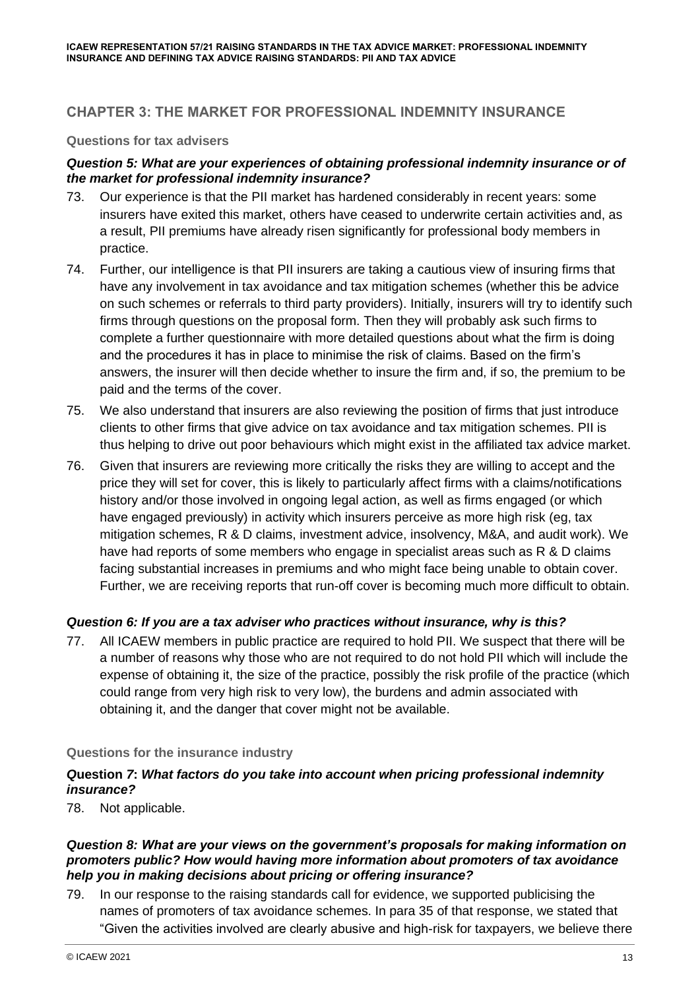# **CHAPTER 3: THE MARKET FOR PROFESSIONAL INDEMNITY INSURANCE**

#### **Questions for tax advisers**

# *Question 5: What are your experiences of obtaining professional indemnity insurance or of the market for professional indemnity insurance?*

- 73. Our experience is that the PII market has hardened considerably in recent years: some insurers have exited this market, others have ceased to underwrite certain activities and, as a result, PII premiums have already risen significantly for professional body members in practice.
- 74. Further, our intelligence is that PII insurers are taking a cautious view of insuring firms that have any involvement in tax avoidance and tax mitigation schemes (whether this be advice on such schemes or referrals to third party providers). Initially, insurers will try to identify such firms through questions on the proposal form. Then they will probably ask such firms to complete a further questionnaire with more detailed questions about what the firm is doing and the procedures it has in place to minimise the risk of claims. Based on the firm's answers, the insurer will then decide whether to insure the firm and, if so, the premium to be paid and the terms of the cover.
- 75. We also understand that insurers are also reviewing the position of firms that just introduce clients to other firms that give advice on tax avoidance and tax mitigation schemes. PII is thus helping to drive out poor behaviours which might exist in the affiliated tax advice market.
- 76. Given that insurers are reviewing more critically the risks they are willing to accept and the price they will set for cover, this is likely to particularly affect firms with a claims/notifications history and/or those involved in ongoing legal action, as well as firms engaged (or which have engaged previously) in activity which insurers perceive as more high risk (eg, tax mitigation schemes, R & D claims, investment advice, insolvency, M&A, and audit work). We have had reports of some members who engage in specialist areas such as R & D claims facing substantial increases in premiums and who might face being unable to obtain cover. Further, we are receiving reports that run-off cover is becoming much more difficult to obtain.

# *Question 6: If you are a tax adviser who practices without insurance, why is this?*

77. All ICAEW members in public practice are required to hold PII. We suspect that there will be a number of reasons why those who are not required to do not hold PII which will include the expense of obtaining it, the size of the practice, possibly the risk profile of the practice (which could range from very high risk to very low), the burdens and admin associated with obtaining it, and the danger that cover might not be available.

#### **Questions for the insurance industry**

# *Q***uestion** *7***:** *What factors do you take into account when pricing professional indemnity insurance?*

78. Not applicable.

#### *Question 8: What are your views on the government's proposals for making information on promoters public? How would having more information about promoters of tax avoidance help you in making decisions about pricing or offering insurance?*

79. In our response to the raising standards call for evidence, we supported publicising the names of promoters of tax avoidance schemes. In para 35 of that response, we stated that "Given the activities involved are clearly abusive and high-risk for taxpayers, we believe there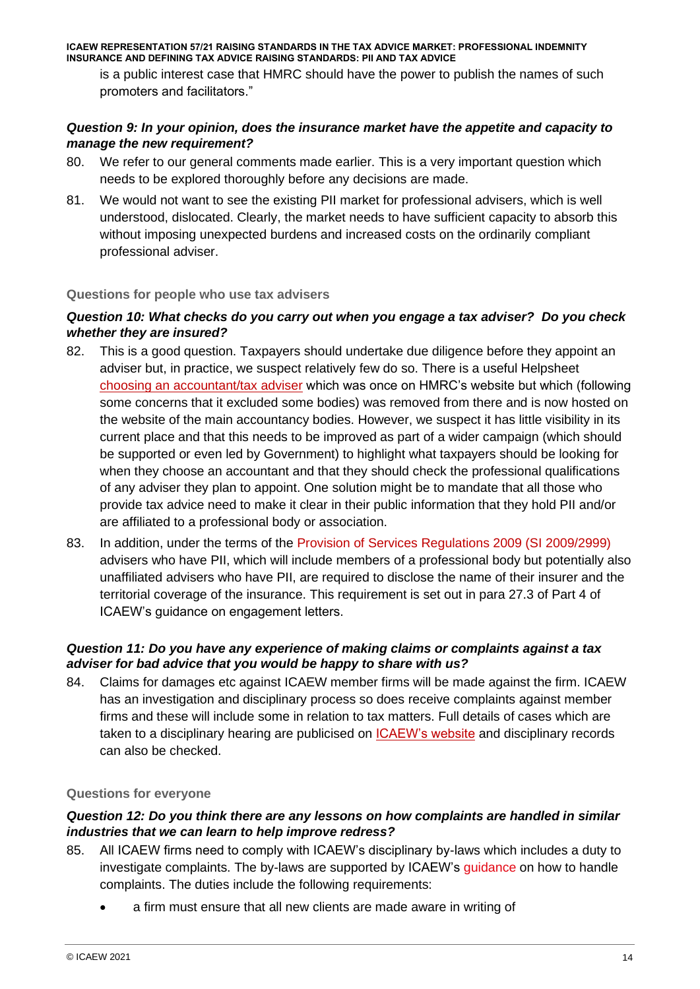is a public interest case that HMRC should have the power to publish the names of such promoters and facilitators."

### *Question 9: In your opinion, does the insurance market have the appetite and capacity to manage the new requirement?*

- 80. We refer to our general comments made earlier. This is a very important question which needs to be explored thoroughly before any decisions are made.
- 81. We would not want to see the existing PII market for professional advisers, which is well understood, dislocated. Clearly, the market needs to have sufficient capacity to absorb this without imposing unexpected burdens and increased costs on the ordinarily compliant professional adviser.

#### **Questions for people who use tax advisers**

# *Question 10: What checks do you carry out when you engage a tax adviser? Do you check whether they are insured?*

- 82. This is a good question. Taxpayers should undertake due diligence before they appoint an adviser but, in practice, we suspect relatively few do so. There is a useful Helpsheet [choosing an accountant/tax adviser](https://www.ccab.org.uk/choosing-an-accountant/) which was once on HMRC's website but which (following some concerns that it excluded some bodies) was removed from there and is now hosted on the website of the main accountancy bodies. However, we suspect it has little visibility in its current place and that this needs to be improved as part of a wider campaign (which should be supported or even led by Government) to highlight what taxpayers should be looking for when they choose an accountant and that they should check the professional qualifications of any adviser they plan to appoint. One solution might be to mandate that all those who provide tax advice need to make it clear in their public information that they hold PII and/or are affiliated to a professional body or association.
- 83. In addition, under the terms of the [Provision of Services Regulations 2009 \(SI 2009/2999\)](https://www.legislation.gov.uk/uksi/2009/2999/contents) advisers who have PII, which will include members of a professional body but potentially also unaffiliated advisers who have PII, are required to disclose the name of their insurer and the territorial coverage of the insurance. This requirement is set out in para 27.3 of Part 4 of ICAEW's guidance on engagement letters.

# *Question 11: Do you have any experience of making claims or complaints against a tax adviser for bad advice that you would be happy to share with us?*

84. Claims for damages etc against ICAEW member firms will be made against the firm. ICAEW has an investigation and disciplinary process so does receive complaints against member firms and these will include some in relation to tax matters. Full details of cases which are taken to a disciplinary hearing are publicised on [ICAEW's website](https://www.icaew.com/about-icaew/regulation-and-the-public-interest/public-hearings) and disciplinary records can also be checked.

#### **Questions for everyone**

#### *Question 12: Do you think there are any lessons on how complaints are handled in similar industries that we can learn to help improve redress?*

- 85. All ICAEW firms need to comply with ICAEW's disciplinary by-laws which includes a duty to investigate complaints. The by-laws are supported by ICAEW's [guidance](https://icaew.sharepoint.com/sites/TSD/TF/Representations/2021/f%20you%20and%20your%20client%20cannot%20reach%20a%20mutually%20acceptable%20solution%20to%20the%20problem,%20you) on how to handle complaints. The duties include the following requirements:
	- a firm must ensure that all new clients are made aware in writing of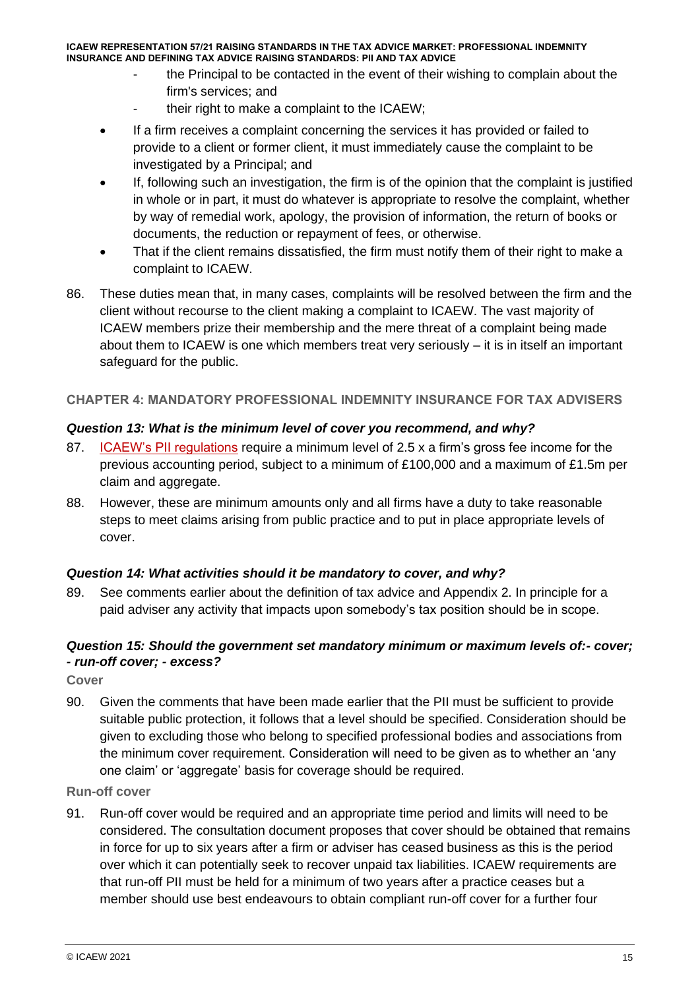- the Principal to be contacted in the event of their wishing to complain about the firm's services; and
- their right to make a complaint to the ICAEW;
- If a firm receives a complaint concerning the services it has provided or failed to provide to a client or former client, it must immediately cause the complaint to be investigated by a Principal; and
- If, following such an investigation, the firm is of the opinion that the complaint is justified in whole or in part, it must do whatever is appropriate to resolve the complaint, whether by way of remedial work, apology, the provision of information, the return of books or documents, the reduction or repayment of fees, or otherwise.
- That if the client remains dissatisfied, the firm must notify them of their right to make a complaint to ICAEW.
- 86. These duties mean that, in many cases, complaints will be resolved between the firm and the client without recourse to the client making a complaint to ICAEW. The vast majority of ICAEW members prize their membership and the mere threat of a complaint being made about them to ICAEW is one which members treat very seriously – it is in itself an important safeguard for the public.

# **CHAPTER 4: MANDATORY PROFESSIONAL INDEMNITY INSURANCE FOR TAX ADVISERS**

# *Question 13: What is the minimum level of cover you recommend, and why?*

- 87. [ICAEW's PII regulations](https://www.icaew.com/-/media/corporate/files/members/regulations-standards-and-guidance/professional-indemnity-insurance/pii-regulations-effective-from-1-january-2021.ashx?la=en) require a minimum level of 2.5 x a firm's gross fee income for the previous accounting period, subject to a minimum of £100,000 and a maximum of £1.5m per claim and aggregate.
- 88. However, these are minimum amounts only and all firms have a duty to take reasonable steps to meet claims arising from public practice and to put in place appropriate levels of cover.

#### *Question 14: What activities should it be mandatory to cover, and why?*

89. See comments earlier about the definition of tax advice and Appendix 2. In principle for a paid adviser any activity that impacts upon somebody's tax position should be in scope.

# *Question 15: Should the government set mandatory minimum or maximum levels of:- cover; - run-off cover; - excess?*

**Cover**

90. Given the comments that have been made earlier that the PII must be sufficient to provide suitable public protection, it follows that a level should be specified. Consideration should be given to excluding those who belong to specified professional bodies and associations from the minimum cover requirement. Consideration will need to be given as to whether an 'any one claim' or 'aggregate' basis for coverage should be required.

#### **Run-off cover**

91. Run-off cover would be required and an appropriate time period and limits will need to be considered. The consultation document proposes that cover should be obtained that remains in force for up to six years after a firm or adviser has ceased business as this is the period over which it can potentially seek to recover unpaid tax liabilities. ICAEW requirements are that run-off PII must be held for a minimum of two years after a practice ceases but a member should use best endeavours to obtain compliant run-off cover for a further four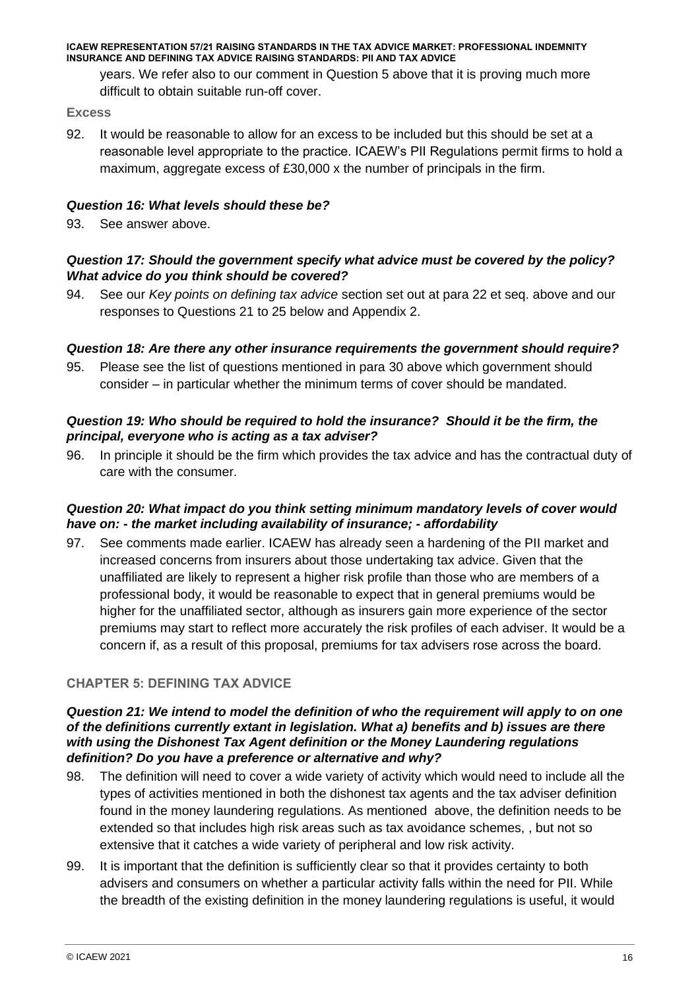years. We refer also to our comment in Question 5 above that it is proving much more difficult to obtain suitable run-off cover.

#### **Excess**

92. It would be reasonable to allow for an excess to be included but this should be set at a reasonable level appropriate to the practice. ICAEW's PII Regulations permit firms to hold a maximum, aggregate excess of £30,000 x the number of principals in the firm.

#### *Question 16: What levels should these be?*

93. See answer above.

# *Question 17: Should the government specify what advice must be covered by the policy? What advice do you think should be covered?*

94. See our *Key points on defining tax advice* section set out at para 22 et seq. above and our responses to Questions 21 to 25 below and Appendix 2.

#### *Question 18: Are there any other insurance requirements the government should require?*

95. Please see the list of questions mentioned in para 30 above which government should consider – in particular whether the minimum terms of cover should be mandated.

#### *Question 19: Who should be required to hold the insurance? Should it be the firm, the principal, everyone who is acting as a tax adviser?*

96. In principle it should be the firm which provides the tax advice and has the contractual duty of care with the consumer.

#### *Question 20: What impact do you think setting minimum mandatory levels of cover would have on: - the market including availability of insurance; - affordability*

97. See comments made earlier. ICAEW has already seen a hardening of the PII market and increased concerns from insurers about those undertaking tax advice. Given that the unaffiliated are likely to represent a higher risk profile than those who are members of a professional body, it would be reasonable to expect that in general premiums would be higher for the unaffiliated sector, although as insurers gain more experience of the sector premiums may start to reflect more accurately the risk profiles of each adviser. It would be a concern if, as a result of this proposal, premiums for tax advisers rose across the board.

#### **CHAPTER 5: DEFINING TAX ADVICE**

#### *Question 21: We intend to model the definition of who the requirement will apply to on one of the definitions currently extant in legislation. What a) benefits and b) issues are there with using the Dishonest Tax Agent definition or the Money Laundering regulations definition? Do you have a preference or alternative and why?*

- 98. The definition will need to cover a wide variety of activity which would need to include all the types of activities mentioned in both the dishonest tax agents and the tax adviser definition found in the money laundering regulations. As mentioned above, the definition needs to be extended so that includes high risk areas such as tax avoidance schemes, , but not so extensive that it catches a wide variety of peripheral and low risk activity.
- 99. It is important that the definition is sufficiently clear so that it provides certainty to both advisers and consumers on whether a particular activity falls within the need for PII. While the breadth of the existing definition in the money laundering regulations is useful, it would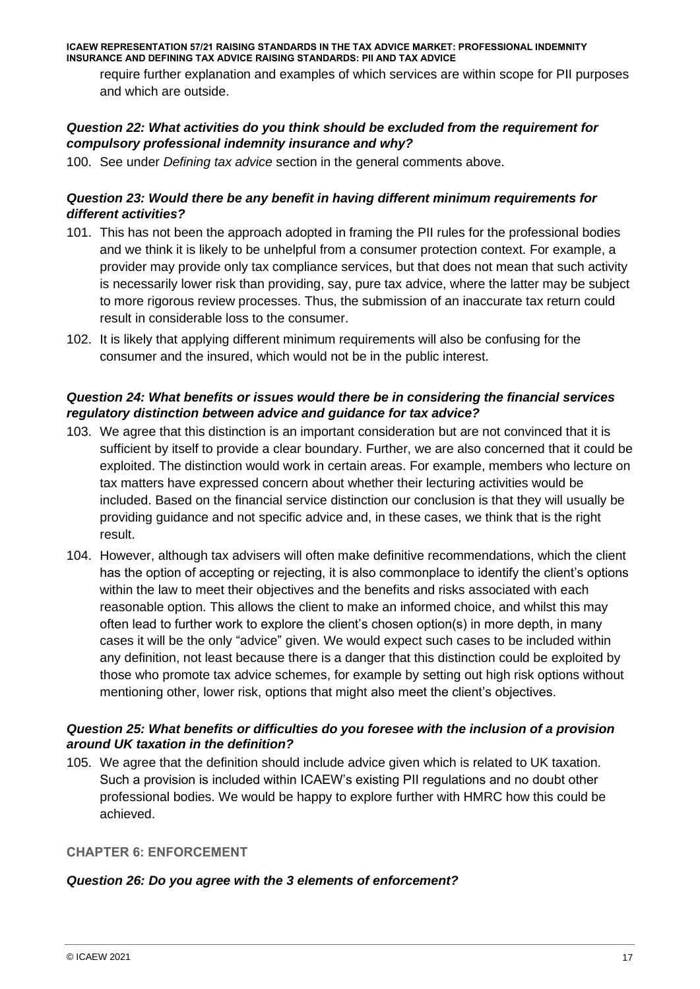require further explanation and examples of which services are within scope for PII purposes and which are outside.

### *Question 22: What activities do you think should be excluded from the requirement for compulsory professional indemnity insurance and why?*

100. See under *Defining tax advice* section in the general comments above.

### *Question 23: Would there be any benefit in having different minimum requirements for different activities?*

- 101. This has not been the approach adopted in framing the PII rules for the professional bodies and we think it is likely to be unhelpful from a consumer protection context. For example, a provider may provide only tax compliance services, but that does not mean that such activity is necessarily lower risk than providing, say, pure tax advice, where the latter may be subject to more rigorous review processes. Thus, the submission of an inaccurate tax return could result in considerable loss to the consumer.
- 102. It is likely that applying different minimum requirements will also be confusing for the consumer and the insured, which would not be in the public interest.

# *Question 24: What benefits or issues would there be in considering the financial services regulatory distinction between advice and guidance for tax advice?*

- 103. We agree that this distinction is an important consideration but are not convinced that it is sufficient by itself to provide a clear boundary. Further, we are also concerned that it could be exploited. The distinction would work in certain areas. For example, members who lecture on tax matters have expressed concern about whether their lecturing activities would be included. Based on the financial service distinction our conclusion is that they will usually be providing guidance and not specific advice and, in these cases, we think that is the right result.
- 104. However, although tax advisers will often make definitive recommendations, which the client has the option of accepting or rejecting, it is also commonplace to identify the client's options within the law to meet their objectives and the benefits and risks associated with each reasonable option. This allows the client to make an informed choice, and whilst this may often lead to further work to explore the client's chosen option(s) in more depth, in many cases it will be the only "advice" given. We would expect such cases to be included within any definition, not least because there is a danger that this distinction could be exploited by those who promote tax advice schemes, for example by setting out high risk options without mentioning other, lower risk, options that might also meet the client's objectives.

# *Question 25: What benefits or difficulties do you foresee with the inclusion of a provision around UK taxation in the definition?*

105. We agree that the definition should include advice given which is related to UK taxation. Such a provision is included within ICAEW's existing PII regulations and no doubt other professional bodies. We would be happy to explore further with HMRC how this could be achieved.

#### **CHAPTER 6: ENFORCEMENT**

#### *Question 26: Do you agree with the 3 elements of enforcement?*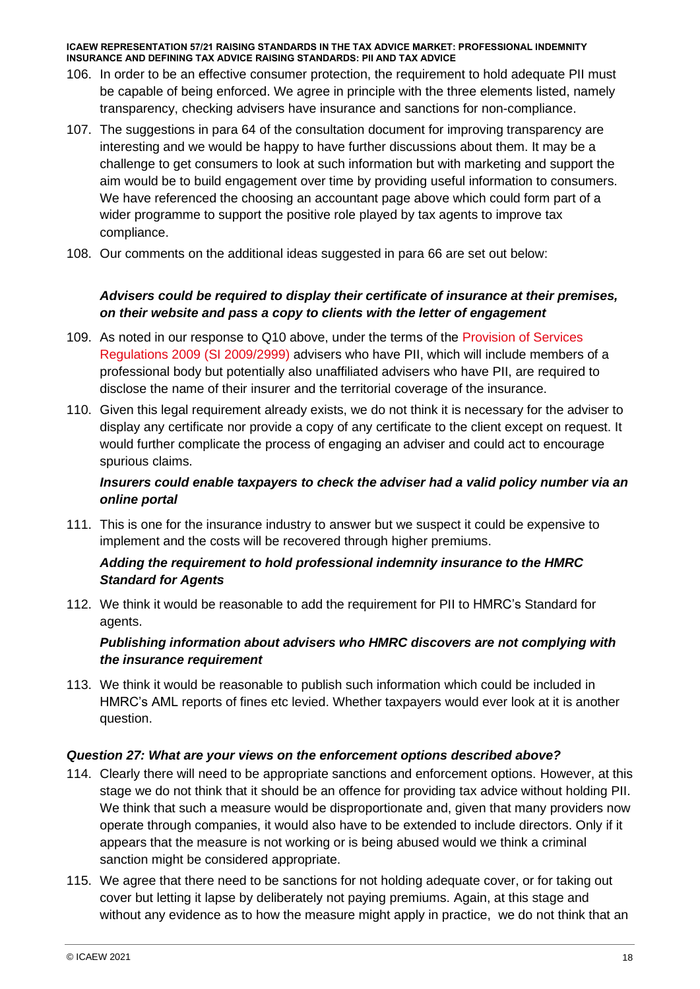- 106. In order to be an effective consumer protection, the requirement to hold adequate PII must be capable of being enforced. We agree in principle with the three elements listed, namely transparency, checking advisers have insurance and sanctions for non-compliance.
- 107. The suggestions in para 64 of the consultation document for improving transparency are interesting and we would be happy to have further discussions about them. It may be a challenge to get consumers to look at such information but with marketing and support the aim would be to build engagement over time by providing useful information to consumers. We have referenced the choosing an accountant page above which could form part of a wider programme to support the positive role played by tax agents to improve tax compliance.
- 108. Our comments on the additional ideas suggested in para 66 are set out below:

# *Advisers could be required to display their certificate of insurance at their premises, on their website and pass a copy to clients with the letter of engagement*

- 109. As noted in our response to Q10 above, under the terms of the [Provision of Services](https://www.legislation.gov.uk/uksi/2009/2999/contents)  [Regulations 2009](https://www.legislation.gov.uk/uksi/2009/2999/contents) (SI 2009/2999) advisers who have PII, which will include members of a professional body but potentially also unaffiliated advisers who have PII, are required to disclose the name of their insurer and the territorial coverage of the insurance.
- 110. Given this legal requirement already exists, we do not think it is necessary for the adviser to display any certificate nor provide a copy of any certificate to the client except on request. It would further complicate the process of engaging an adviser and could act to encourage spurious claims.

# *Insurers could enable taxpayers to check the adviser had a valid policy number via an online portal*

111. This is one for the insurance industry to answer but we suspect it could be expensive to implement and the costs will be recovered through higher premiums.

# *Adding the requirement to hold professional indemnity insurance to the HMRC Standard for Agents*

112. We think it would be reasonable to add the requirement for PII to HMRC's Standard for agents.

# *Publishing information about advisers who HMRC discovers are not complying with the insurance requirement*

113. We think it would be reasonable to publish such information which could be included in HMRC's AML reports of fines etc levied. Whether taxpayers would ever look at it is another question.

# *Question 27: What are your views on the enforcement options described above?*

- 114. Clearly there will need to be appropriate sanctions and enforcement options. However, at this stage we do not think that it should be an offence for providing tax advice without holding PII. We think that such a measure would be disproportionate and, given that many providers now operate through companies, it would also have to be extended to include directors. Only if it appears that the measure is not working or is being abused would we think a criminal sanction might be considered appropriate.
- 115. We agree that there need to be sanctions for not holding adequate cover, or for taking out cover but letting it lapse by deliberately not paying premiums. Again, at this stage and without any evidence as to how the measure might apply in practice, we do not think that an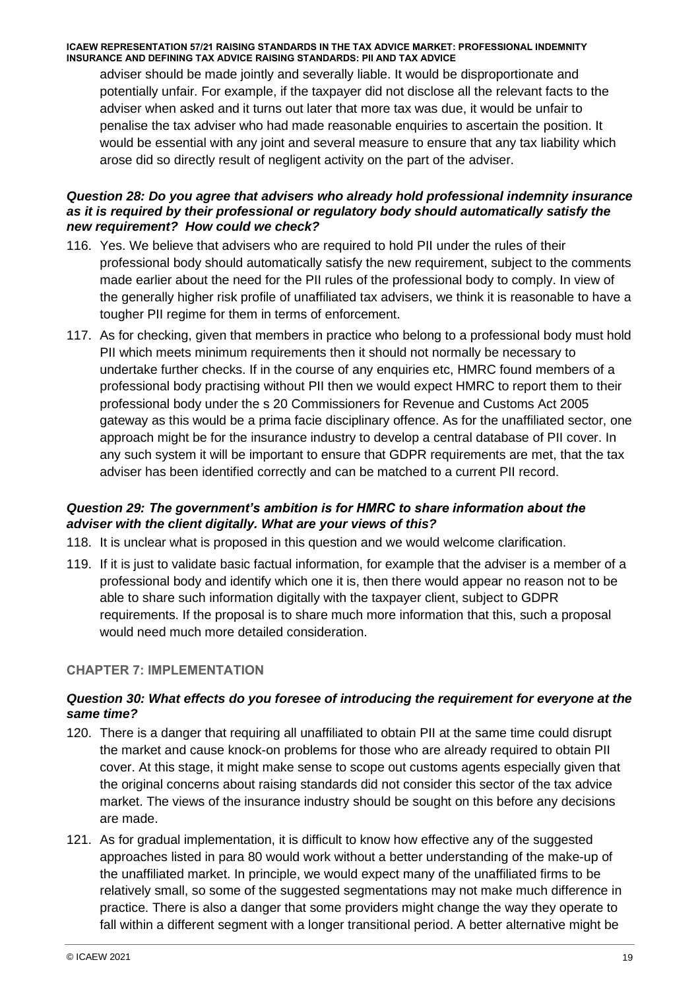adviser should be made jointly and severally liable. It would be disproportionate and potentially unfair. For example, if the taxpayer did not disclose all the relevant facts to the adviser when asked and it turns out later that more tax was due, it would be unfair to penalise the tax adviser who had made reasonable enquiries to ascertain the position. It would be essential with any joint and several measure to ensure that any tax liability which arose did so directly result of negligent activity on the part of the adviser.

# *Question 28: Do you agree that advisers who already hold professional indemnity insurance as it is required by their professional or regulatory body should automatically satisfy the new requirement? How could we check?*

- 116. Yes. We believe that advisers who are required to hold PII under the rules of their professional body should automatically satisfy the new requirement, subject to the comments made earlier about the need for the PII rules of the professional body to comply. In view of the generally higher risk profile of unaffiliated tax advisers, we think it is reasonable to have a tougher PII regime for them in terms of enforcement.
- 117. As for checking, given that members in practice who belong to a professional body must hold PII which meets minimum requirements then it should not normally be necessary to undertake further checks. If in the course of any enquiries etc, HMRC found members of a professional body practising without PII then we would expect HMRC to report them to their professional body under the s 20 Commissioners for Revenue and Customs Act 2005 gateway as this would be a prima facie disciplinary offence. As for the unaffiliated sector, one approach might be for the insurance industry to develop a central database of PII cover. In any such system it will be important to ensure that GDPR requirements are met, that the tax adviser has been identified correctly and can be matched to a current PII record.

# *Question 29: The government's ambition is for HMRC to share information about the adviser with the client digitally. What are your views of this?*

- 118. It is unclear what is proposed in this question and we would welcome clarification.
- 119. If it is just to validate basic factual information, for example that the adviser is a member of a professional body and identify which one it is, then there would appear no reason not to be able to share such information digitally with the taxpayer client, subject to GDPR requirements. If the proposal is to share much more information that this, such a proposal would need much more detailed consideration.

# **CHAPTER 7: IMPLEMENTATION**

# *Question 30: What effects do you foresee of introducing the requirement for everyone at the same time?*

- 120. There is a danger that requiring all unaffiliated to obtain PII at the same time could disrupt the market and cause knock-on problems for those who are already required to obtain PII cover. At this stage, it might make sense to scope out customs agents especially given that the original concerns about raising standards did not consider this sector of the tax advice market. The views of the insurance industry should be sought on this before any decisions are made.
- 121. As for gradual implementation, it is difficult to know how effective any of the suggested approaches listed in para 80 would work without a better understanding of the make-up of the unaffiliated market. In principle, we would expect many of the unaffiliated firms to be relatively small, so some of the suggested segmentations may not make much difference in practice. There is also a danger that some providers might change the way they operate to fall within a different segment with a longer transitional period. A better alternative might be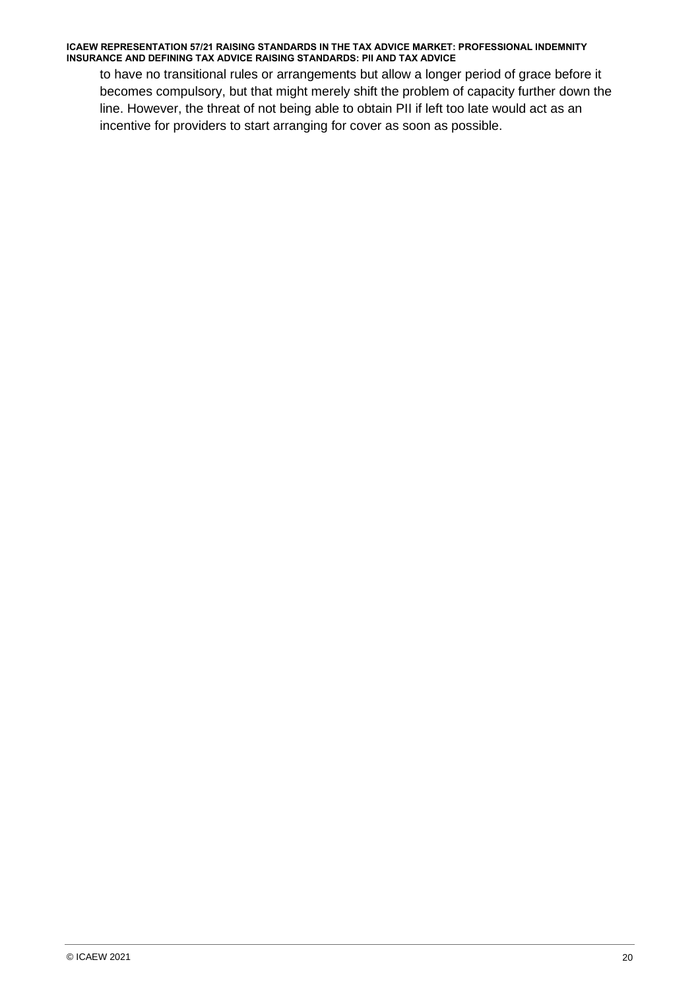to have no transitional rules or arrangements but allow a longer period of grace before it becomes compulsory, but that might merely shift the problem of capacity further down the line. However, the threat of not being able to obtain PII if left too late would act as an incentive for providers to start arranging for cover as soon as possible.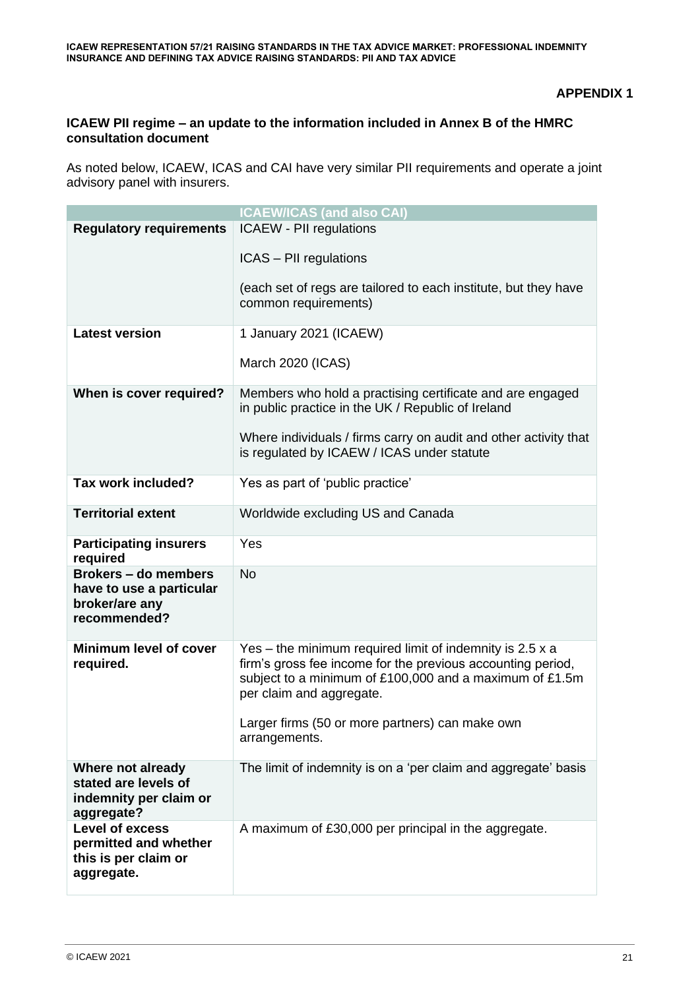**APPENDIX 1**

## **ICAEW PII regime – an update to the information included in Annex B of the HMRC consultation document**

As noted below, ICAEW, ICAS and CAI have very similar PII requirements and operate a joint advisory panel with insurers.

|                                                                                           | <b>ICAEW/ICAS (and also CAI)</b>                                                                                                                                                                                                                                                     |
|-------------------------------------------------------------------------------------------|--------------------------------------------------------------------------------------------------------------------------------------------------------------------------------------------------------------------------------------------------------------------------------------|
| <b>Regulatory requirements</b>                                                            | <b>ICAEW - PII regulations</b>                                                                                                                                                                                                                                                       |
|                                                                                           | ICAS - PII regulations                                                                                                                                                                                                                                                               |
|                                                                                           | (each set of regs are tailored to each institute, but they have<br>common requirements)                                                                                                                                                                                              |
| <b>Latest version</b>                                                                     | 1 January 2021 (ICAEW)                                                                                                                                                                                                                                                               |
|                                                                                           | March 2020 (ICAS)                                                                                                                                                                                                                                                                    |
| When is cover required?                                                                   | Members who hold a practising certificate and are engaged<br>in public practice in the UK / Republic of Ireland                                                                                                                                                                      |
|                                                                                           | Where individuals / firms carry on audit and other activity that<br>is regulated by ICAEW / ICAS under statute                                                                                                                                                                       |
| Tax work included?                                                                        | Yes as part of 'public practice'                                                                                                                                                                                                                                                     |
| <b>Territorial extent</b>                                                                 | Worldwide excluding US and Canada                                                                                                                                                                                                                                                    |
| <b>Participating insurers</b><br>required                                                 | Yes                                                                                                                                                                                                                                                                                  |
| <b>Brokers - do members</b><br>have to use a particular<br>broker/are any<br>recommended? | <b>No</b>                                                                                                                                                                                                                                                                            |
| <b>Minimum level of cover</b><br>required.                                                | Yes – the minimum required limit of indemnity is $2.5 x a$<br>firm's gross fee income for the previous accounting period,<br>subject to a minimum of £100,000 and a maximum of £1.5m<br>per claim and aggregate.<br>Larger firms (50 or more partners) can make own<br>arrangements. |
| Where not already<br>stated are levels of<br>indemnity per claim or<br>aggregate?         | The limit of indemnity is on a 'per claim and aggregate' basis                                                                                                                                                                                                                       |
| Level of excess<br>permitted and whether<br>this is per claim or<br>aggregate.            | A maximum of £30,000 per principal in the aggregate.                                                                                                                                                                                                                                 |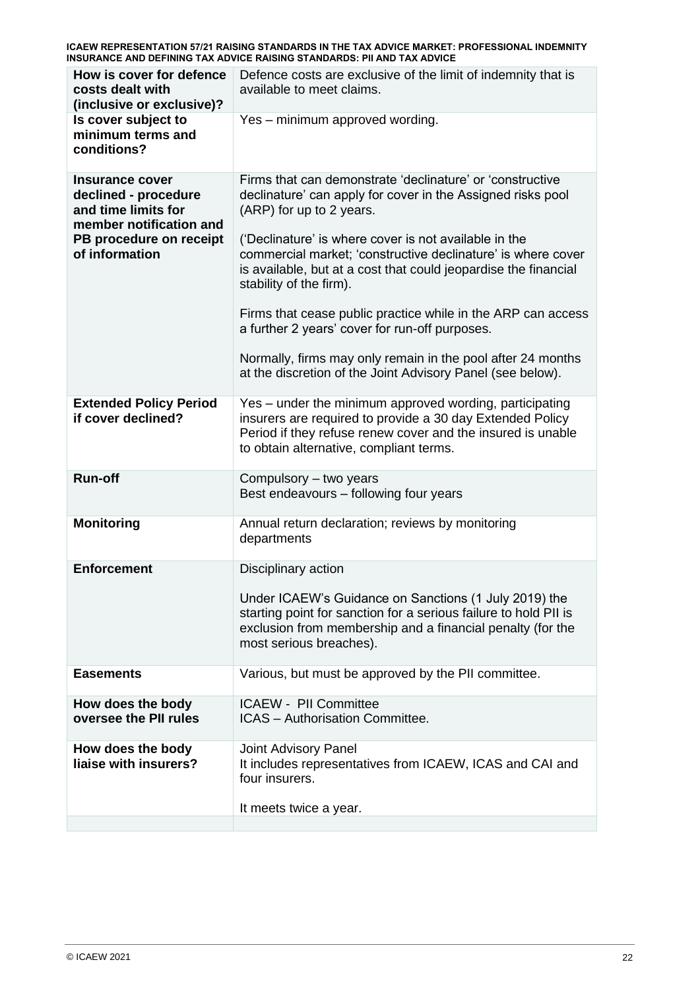| How is cover for defence<br>costs dealt with<br>(inclusive or exclusive)?                                                              | Defence costs are exclusive of the limit of indemnity that is<br>available to meet claims.                                                                                                                                                                                                                                                                                                                                                                                                                                                                                                                                 |
|----------------------------------------------------------------------------------------------------------------------------------------|----------------------------------------------------------------------------------------------------------------------------------------------------------------------------------------------------------------------------------------------------------------------------------------------------------------------------------------------------------------------------------------------------------------------------------------------------------------------------------------------------------------------------------------------------------------------------------------------------------------------------|
| Is cover subject to<br>minimum terms and<br>conditions?                                                                                | Yes - minimum approved wording.                                                                                                                                                                                                                                                                                                                                                                                                                                                                                                                                                                                            |
| Insurance cover<br>declined - procedure<br>and time limits for<br>member notification and<br>PB procedure on receipt<br>of information | Firms that can demonstrate 'declinature' or 'constructive<br>declinature' can apply for cover in the Assigned risks pool<br>(ARP) for up to 2 years.<br>('Declinature' is where cover is not available in the<br>commercial market; 'constructive declinature' is where cover<br>is available, but at a cost that could jeopardise the financial<br>stability of the firm).<br>Firms that cease public practice while in the ARP can access<br>a further 2 years' cover for run-off purposes.<br>Normally, firms may only remain in the pool after 24 months<br>at the discretion of the Joint Advisory Panel (see below). |
| <b>Extended Policy Period</b><br>if cover declined?                                                                                    | Yes – under the minimum approved wording, participating<br>insurers are required to provide a 30 day Extended Policy<br>Period if they refuse renew cover and the insured is unable<br>to obtain alternative, compliant terms.                                                                                                                                                                                                                                                                                                                                                                                             |
| <b>Run-off</b>                                                                                                                         | Compulsory - two years<br>Best endeavours - following four years                                                                                                                                                                                                                                                                                                                                                                                                                                                                                                                                                           |
| <b>Monitoring</b>                                                                                                                      | Annual return declaration; reviews by monitoring<br>departments                                                                                                                                                                                                                                                                                                                                                                                                                                                                                                                                                            |
| <b>Enforcement</b>                                                                                                                     | Disciplinary action<br>Under ICAEW's Guidance on Sanctions (1 July 2019) the<br>starting point for sanction for a serious failure to hold PII is<br>exclusion from membership and a financial penalty (for the<br>most serious breaches).                                                                                                                                                                                                                                                                                                                                                                                  |
| <b>Easements</b>                                                                                                                       | Various, but must be approved by the PII committee.                                                                                                                                                                                                                                                                                                                                                                                                                                                                                                                                                                        |
| How does the body<br>oversee the PII rules                                                                                             | <b>ICAEW - PII Committee</b><br><b>ICAS</b> - Authorisation Committee.                                                                                                                                                                                                                                                                                                                                                                                                                                                                                                                                                     |
| How does the body<br>liaise with insurers?                                                                                             | Joint Advisory Panel<br>It includes representatives from ICAEW, ICAS and CAI and<br>four insurers.<br>It meets twice a year.                                                                                                                                                                                                                                                                                                                                                                                                                                                                                               |
|                                                                                                                                        |                                                                                                                                                                                                                                                                                                                                                                                                                                                                                                                                                                                                                            |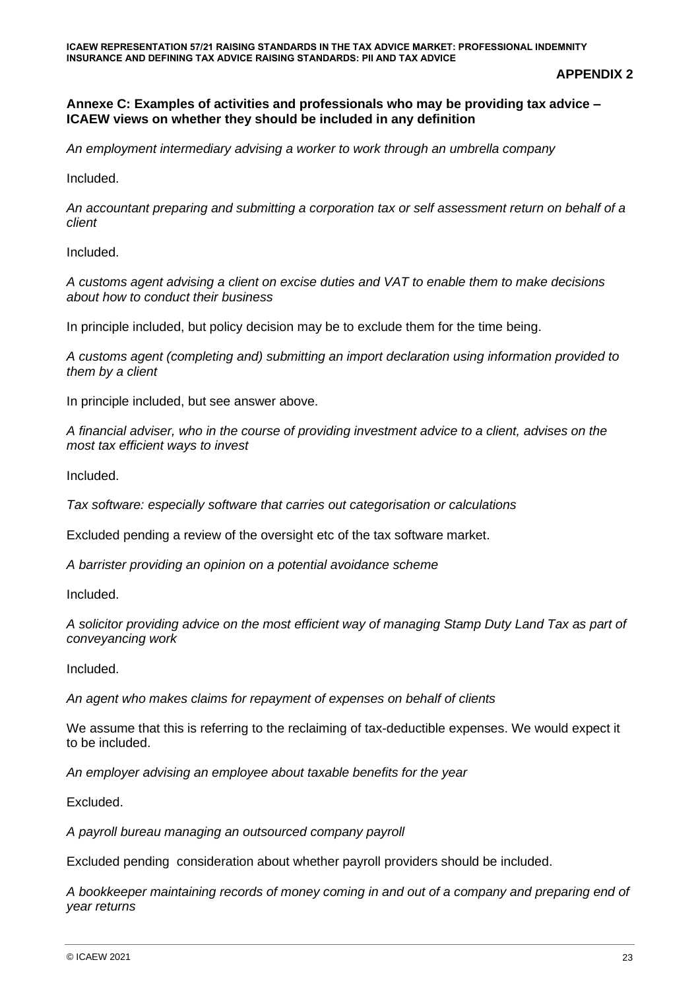**APPENDIX 2**

#### **Annexe C: Examples of activities and professionals who may be providing tax advice – ICAEW views on whether they should be included in any definition**

*An employment intermediary advising a worker to work through an umbrella company* 

Included.

*An accountant preparing and submitting a corporation tax or self assessment return on behalf of a client* 

Included.

*A customs agent advising a client on excise duties and VAT to enable them to make decisions about how to conduct their business* 

In principle included, but policy decision may be to exclude them for the time being.

*A customs agent (completing and) submitting an import declaration using information provided to them by a client* 

In principle included, but see answer above.

*A financial adviser, who in the course of providing investment advice to a client, advises on the most tax efficient ways to invest* 

Included.

*Tax software: especially software that carries out categorisation or calculations* 

Excluded pending a review of the oversight etc of the tax software market.

*A barrister providing an opinion on a potential avoidance scheme* 

Included.

*A solicitor providing advice on the most efficient way of managing Stamp Duty Land Tax as part of conveyancing work* 

Included.

*An agent who makes claims for repayment of expenses on behalf of clients* 

We assume that this is referring to the reclaiming of tax-deductible expenses. We would expect it to be included.

*An employer advising an employee about taxable benefits for the year* 

Excluded.

*A payroll bureau managing an outsourced company payroll*

Excluded pending consideration about whether payroll providers should be included.

*A bookkeeper maintaining records of money coming in and out of a company and preparing end of year returns*